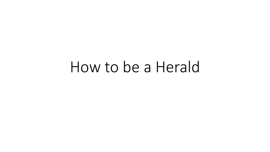# How to be a Herald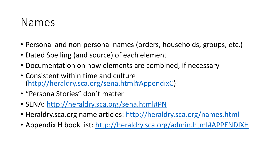#### Names

- Personal and non-personal names (orders, households, groups, etc.)
- Dated Spelling (and source) of each element
- Documentation on how elements are combined, if necessary
- Consistent within time and culture (<http://heraldry.sca.org/sena.html#AppendixC>)
- "Persona Stories" don't matter
- SENA: <http://heraldry.sca.org/sena.html#PN>
- Heraldry.sca.org name articles: <http://heraldry.sca.org/names.html>
- Appendix H book list: <http://heraldry.sca.org/admin.html#APPENDIXH>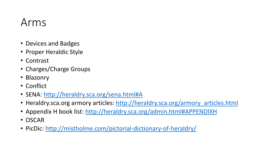### Arms

- Devices and Badges
- Proper Heraldic Style
- Contrast
- Charges/Charge Groups
- Blazonry
- Conflict
- SENA:<http://heraldry.sca.org/sena.html#A>
- Heraldry.sca.org armory articles: [http://heraldry.sca.org/armory\\_articles.html](http://heraldry.sca.org/armory_articles.html)
- Appendix H book list:<http://heraldry.sca.org/admin.html#APPENDIXH>
- OSCAR
- PicDic:<http://mistholme.com/pictorial-dictionary-of-heraldry/>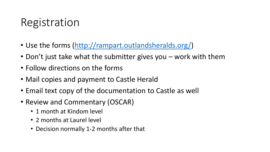## Registration

- Use the forms ([http://rampart.outlandsheralds.org/\)](http://rampart.outlandsheralds.org/)
- Don't just take what the submitter gives you work with them
- Follow directions on the forms
- Mail copies and payment to Castle Herald
- Email text copy of the documentation to Castle as well
- Review and Commentary (OSCAR)
	- 1 month at Kindom level
	- 2 months at Laurel level
	- Decision normally 1-2 months after that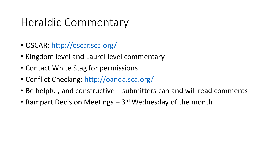## Heraldic Commentary

- OSCAR: <http://oscar.sca.org/>
- Kingdom level and Laurel level commentary
- Contact White Stag for permissions
- Conflict Checking: <http://oanda.sca.org/>
- Be helpful, and constructive submitters can and will read comments
- Rampart Decision Meetings 3<sup>rd</sup> Wednesday of the month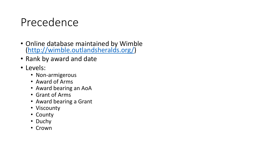### Precedence

- Online database maintained by Wimble [\(http://wimble.outlandsheralds.org/\)](http://wimble.outlandsheralds.org/)
- Rank by award and date
- Levels:
	- Non-armigerous
	- Award of Arms
	- Award bearing an AoA
	- Grant of Arms
	- Award bearing a Grant
	- Viscounty
	- County
	- Duchy
	- Crown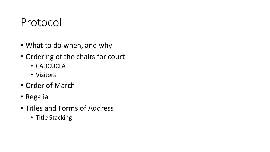### Protocol

- What to do when, and why
- Ordering of the chairs for court
	- CADCUCFA
	- Visitors
- Order of March
- Regalia
- Titles and Forms of Address
	- Title Stacking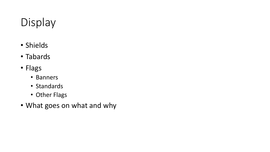## Display

- Shields
- Tabards
- Flags
	- Banners
	- Standards
	- Other Flags
- What goes on what and why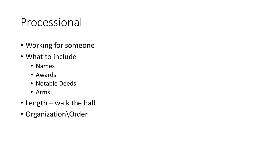### Processional

- Working for someone
- What to include
	- Names
	- Awards
	- Notable Deeds
	- Arms
- Length walk the hall
- Organization\Order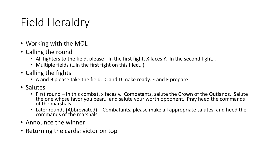## Field Heraldry

- Working with the MOL
- Calling the round
	- All fighters to the field, please! In the first fight, X faces Y. In the second fight...
	- Multiple fields (... In the first fight on this filed...)
- Calling the fights
	- A and B please take the field. C and D make ready. E and F prepare
- Salutes
	- First round In this combat, x faces y. Combatants, salute the Crown of the Outlands. Salute the one whose favor you bear... and salute your worth opponent. Pray heed the commands of the marshals
	- Later rounds (Abbreviated) Combatants, please make all appropriate salutes, and heed the commands of the marshals
- Announce the winner
- Returning the cards: victor on top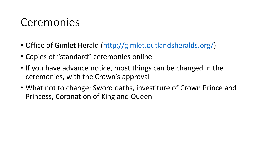### Ceremonies

- Office of Gimlet Herald ([http://gimlet.outlandsheralds.org/\)](http://gimlet.outlandsheralds.org/)
- Copies of "standard" ceremonies online
- If you have advance notice, most things can be changed in the ceremonies, with the Crown's approval
- What not to change: Sword oaths, investiture of Crown Prince and Princess, Coronation of King and Queen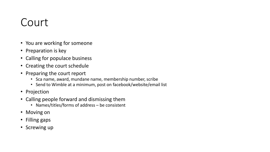### Court

- You are working for someone
- Preparation is key
- Calling for populace business
- Creating the court schedule
- Preparing the court report
	- Sca name, award, mundane name, membership number, scribe
	- Send to Wimble at a minimum, post on facebook/website/email list
- Projection
- Calling people forward and dismissing them
	- Names/titles/forms of address be consistent
- Moving on
- Filling gaps
- Screwing up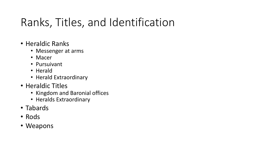## Ranks, Titles, and Identification

- Heraldic Ranks
	- Messenger at arms
	- Macer
	- Pursuivant
	- Herald
	- Herald Extraordinary
- Heraldic Titles
	- Kingdom and Baronial offices
	- Heralds Extraordinary
- Tabards
- Rods
- Weapons